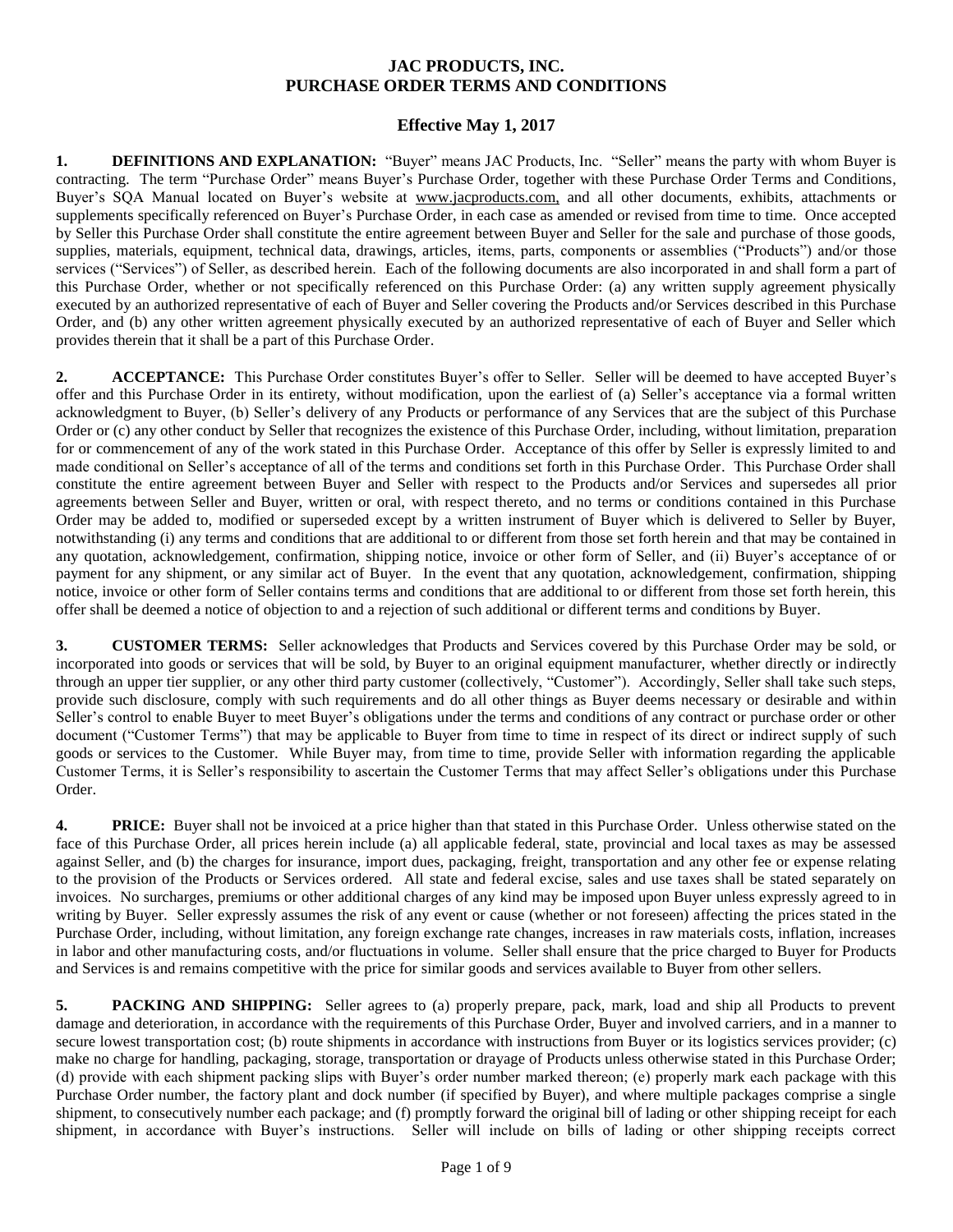## **JAC PRODUCTS, INC. PURCHASE ORDER TERMS AND CONDITIONS**

## **Effective May 1, 2017**

**1. DEFINITIONS AND EXPLANATION:** "Buyer" means JAC Products, Inc. "Seller" means the party with whom Buyer is contracting. The term "Purchase Order" means Buyer's Purchase Order, together with these Purchase Order Terms and Conditions, Buyer's SQA Manual located on Buyer's website at www.jacproducts.com, and all other documents, exhibits, attachments or supplements specifically referenced on Buyer's Purchase Order, in each case as amended or revised from time to time. Once accepted by Seller this Purchase Order shall constitute the entire agreement between Buyer and Seller for the sale and purchase of those goods, supplies, materials, equipment, technical data, drawings, articles, items, parts, components or assemblies ("Products") and/or those services ("Services") of Seller, as described herein. Each of the following documents are also incorporated in and shall form a part of this Purchase Order, whether or not specifically referenced on this Purchase Order: (a) any written supply agreement physically executed by an authorized representative of each of Buyer and Seller covering the Products and/or Services described in this Purchase Order, and (b) any other written agreement physically executed by an authorized representative of each of Buyer and Seller which provides therein that it shall be a part of this Purchase Order.

**2. ACCEPTANCE:** This Purchase Order constitutes Buyer's offer to Seller. Seller will be deemed to have accepted Buyer's offer and this Purchase Order in its entirety, without modification, upon the earliest of (a) Seller's acceptance via a formal written acknowledgment to Buyer, (b) Seller's delivery of any Products or performance of any Services that are the subject of this Purchase Order or (c) any other conduct by Seller that recognizes the existence of this Purchase Order, including, without limitation, preparation for or commencement of any of the work stated in this Purchase Order. Acceptance of this offer by Seller is expressly limited to and made conditional on Seller's acceptance of all of the terms and conditions set forth in this Purchase Order. This Purchase Order shall constitute the entire agreement between Buyer and Seller with respect to the Products and/or Services and supersedes all prior agreements between Seller and Buyer, written or oral, with respect thereto, and no terms or conditions contained in this Purchase Order may be added to, modified or superseded except by a written instrument of Buyer which is delivered to Seller by Buyer, notwithstanding (i) any terms and conditions that are additional to or different from those set forth herein and that may be contained in any quotation, acknowledgement, confirmation, shipping notice, invoice or other form of Seller, and (ii) Buyer's acceptance of or payment for any shipment, or any similar act of Buyer.In the event that any quotation, acknowledgement, confirmation, shipping notice, invoice or other form of Seller contains terms and conditions that are additional to or different from those set forth herein, this offer shall be deemed a notice of objection to and a rejection of such additional or different terms and conditions by Buyer.

**3. CUSTOMER TERMS:** Seller acknowledges that Products and Services covered by this Purchase Order may be sold, or incorporated into goods or services that will be sold, by Buyer to an original equipment manufacturer, whether directly or indirectly through an upper tier supplier, or any other third party customer (collectively, "Customer"). Accordingly, Seller shall take such steps, provide such disclosure, comply with such requirements and do all other things as Buyer deems necessary or desirable and within Seller's control to enable Buyer to meet Buyer's obligations under the terms and conditions of any contract or purchase order or other document ("Customer Terms") that may be applicable to Buyer from time to time in respect of its direct or indirect supply of such goods or services to the Customer. While Buyer may, from time to time, provide Seller with information regarding the applicable Customer Terms, it is Seller's responsibility to ascertain the Customer Terms that may affect Seller's obligations under this Purchase Order.

**4. PRICE:** Buyer shall not be invoiced at a price higher than that stated in this Purchase Order. Unless otherwise stated on the face of this Purchase Order, all prices herein include (a) all applicable federal, state, provincial and local taxes as may be assessed against Seller, and (b) the charges for insurance, import dues, packaging, freight, transportation and any other fee or expense relating to the provision of the Products or Services ordered. All state and federal excise, sales and use taxes shall be stated separately on invoices. No surcharges, premiums or other additional charges of any kind may be imposed upon Buyer unless expressly agreed to in writing by Buyer. Seller expressly assumes the risk of any event or cause (whether or not foreseen) affecting the prices stated in the Purchase Order, including, without limitation, any foreign exchange rate changes, increases in raw materials costs, inflation, increases in labor and other manufacturing costs, and/or fluctuations in volume. Seller shall ensure that the price charged to Buyer for Products and Services is and remains competitive with the price for similar goods and services available to Buyer from other sellers.

**5. PACKING AND SHIPPING:** Seller agrees to (a) properly prepare, pack, mark, load and ship all Products to prevent damage and deterioration, in accordance with the requirements of this Purchase Order, Buyer and involved carriers, and in a manner to secure lowest transportation cost; (b) route shipments in accordance with instructions from Buyer or its logistics services provider; (c) make no charge for handling, packaging, storage, transportation or drayage of Products unless otherwise stated in this Purchase Order; (d) provide with each shipment packing slips with Buyer's order number marked thereon; (e) properly mark each package with this Purchase Order number, the factory plant and dock number (if specified by Buyer), and where multiple packages comprise a single shipment, to consecutively number each package; and (f) promptly forward the original bill of lading or other shipping receipt for each shipment, in accordance with Buyer's instructions. Seller will include on bills of lading or other shipping receipts correct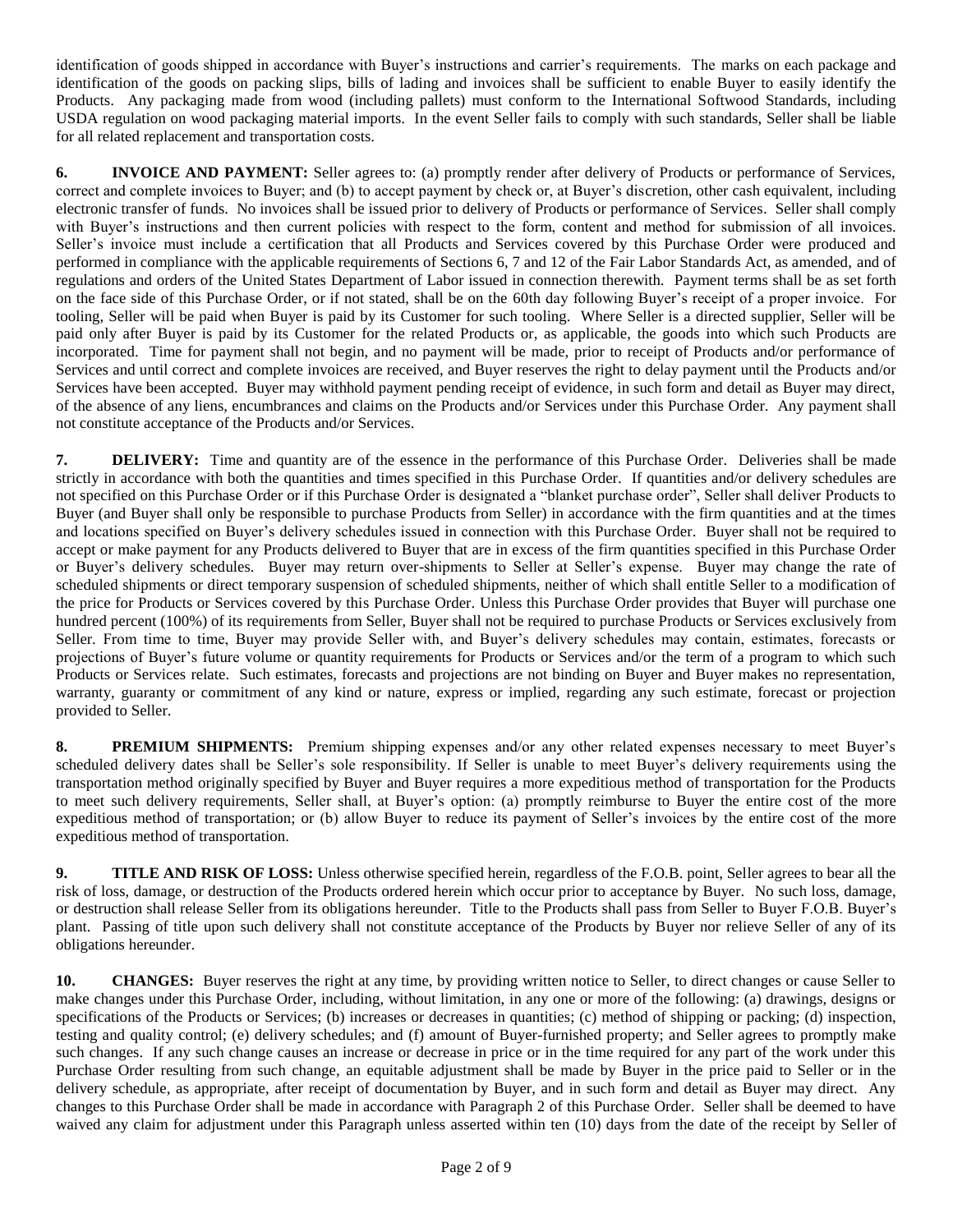identification of goods shipped in accordance with Buyer's instructions and carrier's requirements. The marks on each package and identification of the goods on packing slips, bills of lading and invoices shall be sufficient to enable Buyer to easily identify the Products. Any packaging made from wood (including pallets) must conform to the International Softwood Standards, including USDA regulation on wood packaging material imports. In the event Seller fails to comply with such standards, Seller shall be liable for all related replacement and transportation costs.

**6. INVOICE AND PAYMENT:** Seller agrees to: (a) promptly render after delivery of Products or performance of Services, correct and complete invoices to Buyer; and (b) to accept payment by check or, at Buyer's discretion, other cash equivalent, including electronic transfer of funds. No invoices shall be issued prior to delivery of Products or performance of Services. Seller shall comply with Buyer's instructions and then current policies with respect to the form, content and method for submission of all invoices. Seller's invoice must include a certification that all Products and Services covered by this Purchase Order were produced and performed in compliance with the applicable requirements of Sections 6, 7 and 12 of the Fair Labor Standards Act, as amended, and of regulations and orders of the United States Department of Labor issued in connection therewith. Payment terms shall be as set forth on the face side of this Purchase Order, or if not stated, shall be on the 60th day following Buyer's receipt of a proper invoice. For tooling, Seller will be paid when Buyer is paid by its Customer for such tooling. Where Seller is a directed supplier, Seller will be paid only after Buyer is paid by its Customer for the related Products or, as applicable, the goods into which such Products are incorporated. Time for payment shall not begin, and no payment will be made, prior to receipt of Products and/or performance of Services and until correct and complete invoices are received, and Buyer reserves the right to delay payment until the Products and/or Services have been accepted. Buyer may withhold payment pending receipt of evidence, in such form and detail as Buyer may direct, of the absence of any liens, encumbrances and claims on the Products and/or Services under this Purchase Order. Any payment shall not constitute acceptance of the Products and/or Services.

**7. DELIVERY:** Time and quantity are of the essence in the performance of this Purchase Order. Deliveries shall be made strictly in accordance with both the quantities and times specified in this Purchase Order. If quantities and/or delivery schedules are not specified on this Purchase Order or if this Purchase Order is designated a "blanket purchase order", Seller shall deliver Products to Buyer (and Buyer shall only be responsible to purchase Products from Seller) in accordance with the firm quantities and at the times and locations specified on Buyer's delivery schedules issued in connection with this Purchase Order. Buyer shall not be required to accept or make payment for any Products delivered to Buyer that are in excess of the firm quantities specified in this Purchase Order or Buyer's delivery schedules. Buyer may return over-shipments to Seller at Seller's expense. Buyer may change the rate of scheduled shipments or direct temporary suspension of scheduled shipments, neither of which shall entitle Seller to a modification of the price for Products or Services covered by this Purchase Order. Unless this Purchase Order provides that Buyer will purchase one hundred percent (100%) of its requirements from Seller, Buyer shall not be required to purchase Products or Services exclusively from Seller. From time to time, Buyer may provide Seller with, and Buyer's delivery schedules may contain, estimates, forecasts or projections of Buyer's future volume or quantity requirements for Products or Services and/or the term of a program to which such Products or Services relate. Such estimates, forecasts and projections are not binding on Buyer and Buyer makes no representation, warranty, guaranty or commitment of any kind or nature, express or implied, regarding any such estimate, forecast or projection provided to Seller.

**8. PREMIUM SHIPMENTS:** Premium shipping expenses and/or any other related expenses necessary to meet Buyer's scheduled delivery dates shall be Seller's sole responsibility. If Seller is unable to meet Buyer's delivery requirements using the transportation method originally specified by Buyer and Buyer requires a more expeditious method of transportation for the Products to meet such delivery requirements, Seller shall, at Buyer's option: (a) promptly reimburse to Buyer the entire cost of the more expeditious method of transportation; or (b) allow Buyer to reduce its payment of Seller's invoices by the entire cost of the more expeditious method of transportation.

**9. TITLE AND RISK OF LOSS:** Unless otherwise specified herein, regardless of the F.O.B. point, Seller agrees to bear all the risk of loss, damage, or destruction of the Products ordered herein which occur prior to acceptance by Buyer. No such loss, damage, or destruction shall release Seller from its obligations hereunder. Title to the Products shall pass from Seller to Buyer F.O.B. Buyer's plant. Passing of title upon such delivery shall not constitute acceptance of the Products by Buyer nor relieve Seller of any of its obligations hereunder.

**10. CHANGES:** Buyer reserves the right at any time, by providing written notice to Seller, to direct changes or cause Seller to make changes under this Purchase Order, including, without limitation, in any one or more of the following: (a) drawings, designs or specifications of the Products or Services; (b) increases or decreases in quantities; (c) method of shipping or packing; (d) inspection, testing and quality control; (e) delivery schedules; and (f) amount of Buyer-furnished property; and Seller agrees to promptly make such changes. If any such change causes an increase or decrease in price or in the time required for any part of the work under this Purchase Order resulting from such change, an equitable adjustment shall be made by Buyer in the price paid to Seller or in the delivery schedule, as appropriate, after receipt of documentation by Buyer, and in such form and detail as Buyer may direct. Any changes to this Purchase Order shall be made in accordance with Paragraph 2 of this Purchase Order. Seller shall be deemed to have waived any claim for adjustment under this Paragraph unless asserted within ten (10) days from the date of the receipt by Seller of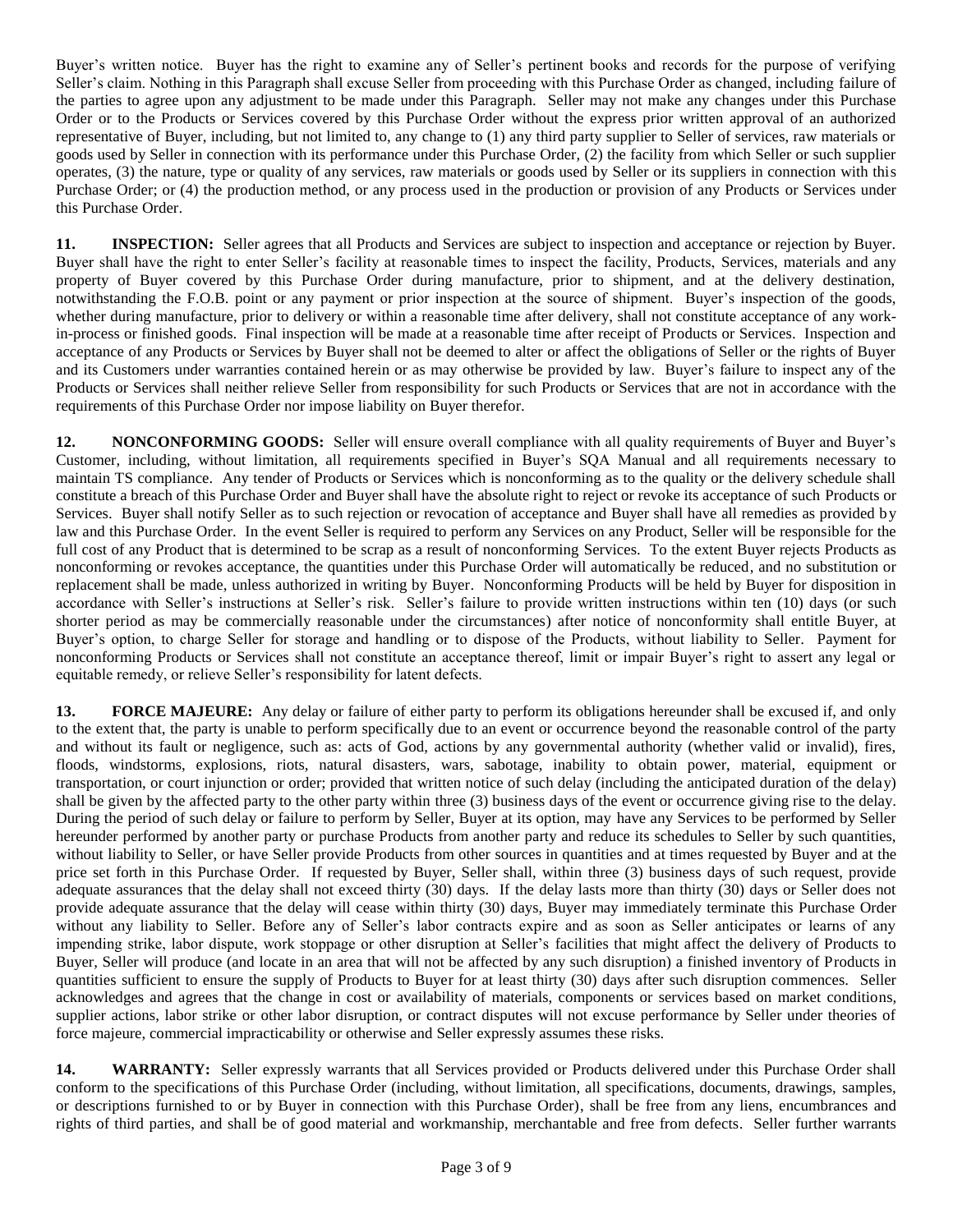Buyer's written notice. Buyer has the right to examine any of Seller's pertinent books and records for the purpose of verifying Seller's claim. Nothing in this Paragraph shall excuse Seller from proceeding with this Purchase Order as changed, including failure of the parties to agree upon any adjustment to be made under this Paragraph. Seller may not make any changes under this Purchase Order or to the Products or Services covered by this Purchase Order without the express prior written approval of an authorized representative of Buyer, including, but not limited to, any change to (1) any third party supplier to Seller of services, raw materials or goods used by Seller in connection with its performance under this Purchase Order, (2) the facility from which Seller or such supplier operates, (3) the nature, type or quality of any services, raw materials or goods used by Seller or its suppliers in connection with this Purchase Order; or (4) the production method, or any process used in the production or provision of any Products or Services under this Purchase Order.

**11. INSPECTION:** Seller agrees that all Products and Services are subject to inspection and acceptance or rejection by Buyer. Buyer shall have the right to enter Seller's facility at reasonable times to inspect the facility, Products, Services, materials and any property of Buyer covered by this Purchase Order during manufacture, prior to shipment, and at the delivery destination, notwithstanding the F.O.B. point or any payment or prior inspection at the source of shipment. Buyer's inspection of the goods, whether during manufacture, prior to delivery or within a reasonable time after delivery, shall not constitute acceptance of any workin-process or finished goods. Final inspection will be made at a reasonable time after receipt of Products or Services. Inspection and acceptance of any Products or Services by Buyer shall not be deemed to alter or affect the obligations of Seller or the rights of Buyer and its Customers under warranties contained herein or as may otherwise be provided by law. Buyer's failure to inspect any of the Products or Services shall neither relieve Seller from responsibility for such Products or Services that are not in accordance with the requirements of this Purchase Order nor impose liability on Buyer therefor.

**12. NONCONFORMING GOODS:** Seller will ensure overall compliance with all quality requirements of Buyer and Buyer's Customer, including, without limitation, all requirements specified in Buyer's SQA Manual and all requirements necessary to maintain TS compliance. Any tender of Products or Services which is nonconforming as to the quality or the delivery schedule shall constitute a breach of this Purchase Order and Buyer shall have the absolute right to reject or revoke its acceptance of such Products or Services. Buyer shall notify Seller as to such rejection or revocation of acceptance and Buyer shall have all remedies as provided by law and this Purchase Order. In the event Seller is required to perform any Services on any Product, Seller will be responsible for the full cost of any Product that is determined to be scrap as a result of nonconforming Services. To the extent Buyer rejects Products as nonconforming or revokes acceptance, the quantities under this Purchase Order will automatically be reduced, and no substitution or replacement shall be made, unless authorized in writing by Buyer. Nonconforming Products will be held by Buyer for disposition in accordance with Seller's instructions at Seller's risk. Seller's failure to provide written instructions within ten (10) days (or such shorter period as may be commercially reasonable under the circumstances) after notice of nonconformity shall entitle Buyer, at Buyer's option, to charge Seller for storage and handling or to dispose of the Products, without liability to Seller. Payment for nonconforming Products or Services shall not constitute an acceptance thereof, limit or impair Buyer's right to assert any legal or equitable remedy, or relieve Seller's responsibility for latent defects.

**13. FORCE MAJEURE:** Any delay or failure of either party to perform its obligations hereunder shall be excused if, and only to the extent that, the party is unable to perform specifically due to an event or occurrence beyond the reasonable control of the party and without its fault or negligence, such as: acts of God, actions by any governmental authority (whether valid or invalid), fires, floods, windstorms, explosions, riots, natural disasters, wars, sabotage, inability to obtain power, material, equipment or transportation, or court injunction or order; provided that written notice of such delay (including the anticipated duration of the delay) shall be given by the affected party to the other party within three (3) business days of the event or occurrence giving rise to the delay. During the period of such delay or failure to perform by Seller, Buyer at its option, may have any Services to be performed by Seller hereunder performed by another party or purchase Products from another party and reduce its schedules to Seller by such quantities, without liability to Seller, or have Seller provide Products from other sources in quantities and at times requested by Buyer and at the price set forth in this Purchase Order. If requested by Buyer, Seller shall, within three (3) business days of such request, provide adequate assurances that the delay shall not exceed thirty (30) days. If the delay lasts more than thirty (30) days or Seller does not provide adequate assurance that the delay will cease within thirty (30) days, Buyer may immediately terminate this Purchase Order without any liability to Seller. Before any of Seller's labor contracts expire and as soon as Seller anticipates or learns of any impending strike, labor dispute, work stoppage or other disruption at Seller's facilities that might affect the delivery of Products to Buyer, Seller will produce (and locate in an area that will not be affected by any such disruption) a finished inventory of Products in quantities sufficient to ensure the supply of Products to Buyer for at least thirty (30) days after such disruption commences. Seller acknowledges and agrees that the change in cost or availability of materials, components or services based on market conditions, supplier actions, labor strike or other labor disruption, or contract disputes will not excuse performance by Seller under theories of force majeure, commercial impracticability or otherwise and Seller expressly assumes these risks.

**14. WARRANTY:** Seller expressly warrants that all Services provided or Products delivered under this Purchase Order shall conform to the specifications of this Purchase Order (including, without limitation, all specifications, documents, drawings, samples, or descriptions furnished to or by Buyer in connection with this Purchase Order), shall be free from any liens, encumbrances and rights of third parties, and shall be of good material and workmanship, merchantable and free from defects. Seller further warrants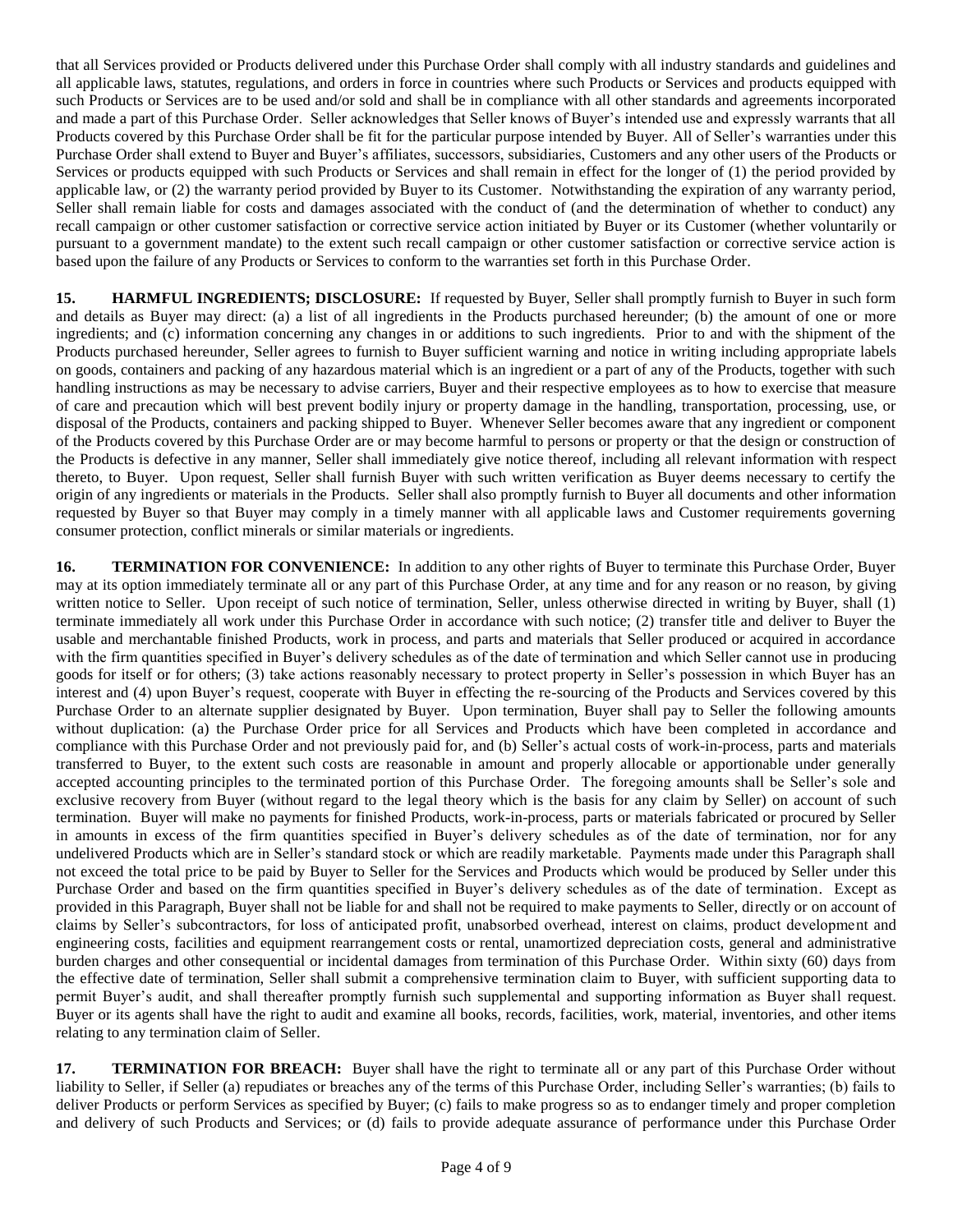that all Services provided or Products delivered under this Purchase Order shall comply with all industry standards and guidelines and all applicable laws, statutes, regulations, and orders in force in countries where such Products or Services and products equipped with such Products or Services are to be used and/or sold and shall be in compliance with all other standards and agreements incorporated and made a part of this Purchase Order. Seller acknowledges that Seller knows of Buyer's intended use and expressly warrants that all Products covered by this Purchase Order shall be fit for the particular purpose intended by Buyer. All of Seller's warranties under this Purchase Order shall extend to Buyer and Buyer's affiliates, successors, subsidiaries, Customers and any other users of the Products or Services or products equipped with such Products or Services and shall remain in effect for the longer of (1) the period provided by applicable law, or (2) the warranty period provided by Buyer to its Customer. Notwithstanding the expiration of any warranty period, Seller shall remain liable for costs and damages associated with the conduct of (and the determination of whether to conduct) any recall campaign or other customer satisfaction or corrective service action initiated by Buyer or its Customer (whether voluntarily or pursuant to a government mandate) to the extent such recall campaign or other customer satisfaction or corrective service action is based upon the failure of any Products or Services to conform to the warranties set forth in this Purchase Order.

**15. HARMFUL INGREDIENTS; DISCLOSURE:** If requested by Buyer, Seller shall promptly furnish to Buyer in such form and details as Buyer may direct: (a) a list of all ingredients in the Products purchased hereunder; (b) the amount of one or more ingredients; and (c) information concerning any changes in or additions to such ingredients. Prior to and with the shipment of the Products purchased hereunder, Seller agrees to furnish to Buyer sufficient warning and notice in writing including appropriate labels on goods, containers and packing of any hazardous material which is an ingredient or a part of any of the Products, together with such handling instructions as may be necessary to advise carriers, Buyer and their respective employees as to how to exercise that measure of care and precaution which will best prevent bodily injury or property damage in the handling, transportation, processing, use, or disposal of the Products, containers and packing shipped to Buyer. Whenever Seller becomes aware that any ingredient or component of the Products covered by this Purchase Order are or may become harmful to persons or property or that the design or construction of the Products is defective in any manner, Seller shall immediately give notice thereof, including all relevant information with respect thereto, to Buyer. Upon request, Seller shall furnish Buyer with such written verification as Buyer deems necessary to certify the origin of any ingredients or materials in the Products. Seller shall also promptly furnish to Buyer all documents and other information requested by Buyer so that Buyer may comply in a timely manner with all applicable laws and Customer requirements governing consumer protection, conflict minerals or similar materials or ingredients.

**16. TERMINATION FOR CONVENIENCE:** In addition to any other rights of Buyer to terminate this Purchase Order, Buyer may at its option immediately terminate all or any part of this Purchase Order, at any time and for any reason or no reason, by giving written notice to Seller. Upon receipt of such notice of termination, Seller, unless otherwise directed in writing by Buyer, shall (1) terminate immediately all work under this Purchase Order in accordance with such notice; (2) transfer title and deliver to Buyer the usable and merchantable finished Products, work in process, and parts and materials that Seller produced or acquired in accordance with the firm quantities specified in Buyer's delivery schedules as of the date of termination and which Seller cannot use in producing goods for itself or for others; (3) take actions reasonably necessary to protect property in Seller's possession in which Buyer has an interest and (4) upon Buyer's request, cooperate with Buyer in effecting the re-sourcing of the Products and Services covered by this Purchase Order to an alternate supplier designated by Buyer. Upon termination, Buyer shall pay to Seller the following amounts without duplication: (a) the Purchase Order price for all Services and Products which have been completed in accordance and compliance with this Purchase Order and not previously paid for, and (b) Seller's actual costs of work-in-process, parts and materials transferred to Buyer, to the extent such costs are reasonable in amount and properly allocable or apportionable under generally accepted accounting principles to the terminated portion of this Purchase Order. The foregoing amounts shall be Seller's sole and exclusive recovery from Buyer (without regard to the legal theory which is the basis for any claim by Seller) on account of such termination. Buyer will make no payments for finished Products, work-in-process, parts or materials fabricated or procured by Seller in amounts in excess of the firm quantities specified in Buyer's delivery schedules as of the date of termination, nor for any undelivered Products which are in Seller's standard stock or which are readily marketable. Payments made under this Paragraph shall not exceed the total price to be paid by Buyer to Seller for the Services and Products which would be produced by Seller under this Purchase Order and based on the firm quantities specified in Buyer's delivery schedules as of the date of termination. Except as provided in this Paragraph, Buyer shall not be liable for and shall not be required to make payments to Seller, directly or on account of claims by Seller's subcontractors, for loss of anticipated profit, unabsorbed overhead, interest on claims, product development and engineering costs, facilities and equipment rearrangement costs or rental, unamortized depreciation costs, general and administrative burden charges and other consequential or incidental damages from termination of this Purchase Order. Within sixty (60) days from the effective date of termination, Seller shall submit a comprehensive termination claim to Buyer, with sufficient supporting data to permit Buyer's audit, and shall thereafter promptly furnish such supplemental and supporting information as Buyer shall request. Buyer or its agents shall have the right to audit and examine all books, records, facilities, work, material, inventories, and other items relating to any termination claim of Seller.

**17. TERMINATION FOR BREACH:** Buyer shall have the right to terminate all or any part of this Purchase Order without liability to Seller, if Seller (a) repudiates or breaches any of the terms of this Purchase Order, including Seller's warranties; (b) fails to deliver Products or perform Services as specified by Buyer; (c) fails to make progress so as to endanger timely and proper completion and delivery of such Products and Services; or (d) fails to provide adequate assurance of performance under this Purchase Order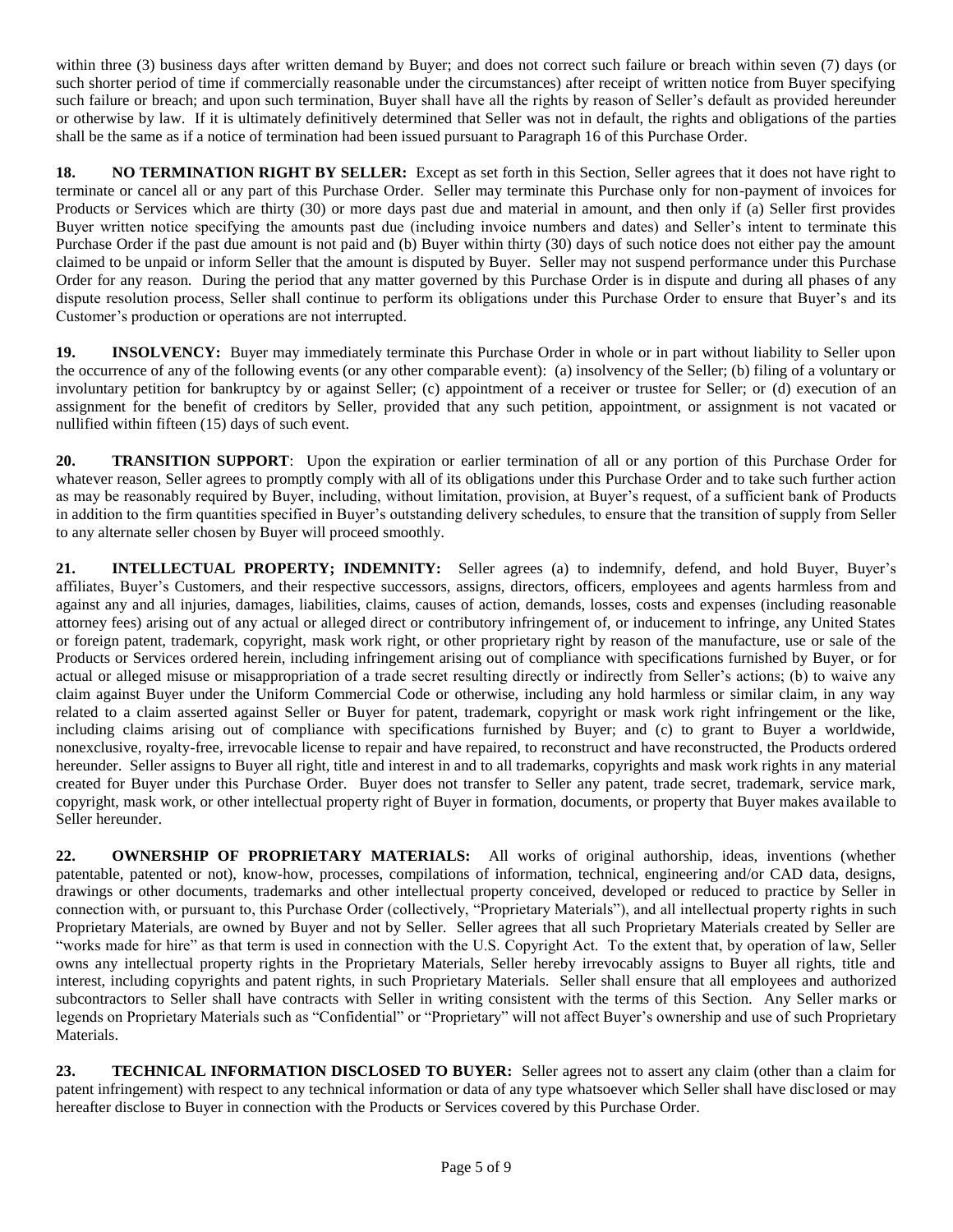within three (3) business days after written demand by Buyer; and does not correct such failure or breach within seven (7) days (or such shorter period of time if commercially reasonable under the circumstances) after receipt of written notice from Buyer specifying such failure or breach; and upon such termination, Buyer shall have all the rights by reason of Seller's default as provided hereunder or otherwise by law. If it is ultimately definitively determined that Seller was not in default, the rights and obligations of the parties shall be the same as if a notice of termination had been issued pursuant to Paragraph 16 of this Purchase Order.

**18. NO TERMINATION RIGHT BY SELLER:** Except as set forth in this Section, Seller agrees that it does not have right to terminate or cancel all or any part of this Purchase Order. Seller may terminate this Purchase only for non-payment of invoices for Products or Services which are thirty (30) or more days past due and material in amount, and then only if (a) Seller first provides Buyer written notice specifying the amounts past due (including invoice numbers and dates) and Seller's intent to terminate this Purchase Order if the past due amount is not paid and (b) Buyer within thirty (30) days of such notice does not either pay the amount claimed to be unpaid or inform Seller that the amount is disputed by Buyer. Seller may not suspend performance under this Purchase Order for any reason. During the period that any matter governed by this Purchase Order is in dispute and during all phases of any dispute resolution process, Seller shall continue to perform its obligations under this Purchase Order to ensure that Buyer's and its Customer's production or operations are not interrupted.

**19. INSOLVENCY:** Buyer may immediately terminate this Purchase Order in whole or in part without liability to Seller upon the occurrence of any of the following events (or any other comparable event): (a) insolvency of the Seller; (b) filing of a voluntary or involuntary petition for bankruptcy by or against Seller; (c) appointment of a receiver or trustee for Seller; or (d) execution of an assignment for the benefit of creditors by Seller, provided that any such petition, appointment, or assignment is not vacated or nullified within fifteen (15) days of such event.

**20. TRANSITION SUPPORT**: Upon the expiration or earlier termination of all or any portion of this Purchase Order for whatever reason, Seller agrees to promptly comply with all of its obligations under this Purchase Order and to take such further action as may be reasonably required by Buyer, including, without limitation, provision, at Buyer's request, of a sufficient bank of Products in addition to the firm quantities specified in Buyer's outstanding delivery schedules, to ensure that the transition of supply from Seller to any alternate seller chosen by Buyer will proceed smoothly.

**21. INTELLECTUAL PROPERTY; INDEMNITY:** Seller agrees (a) to indemnify, defend, and hold Buyer, Buyer's affiliates, Buyer's Customers, and their respective successors, assigns, directors, officers, employees and agents harmless from and against any and all injuries, damages, liabilities, claims, causes of action, demands, losses, costs and expenses (including reasonable attorney fees) arising out of any actual or alleged direct or contributory infringement of, or inducement to infringe, any United States or foreign patent, trademark, copyright, mask work right, or other proprietary right by reason of the manufacture, use or sale of the Products or Services ordered herein, including infringement arising out of compliance with specifications furnished by Buyer, or for actual or alleged misuse or misappropriation of a trade secret resulting directly or indirectly from Seller's actions; (b) to waive any claim against Buyer under the Uniform Commercial Code or otherwise, including any hold harmless or similar claim, in any way related to a claim asserted against Seller or Buyer for patent, trademark, copyright or mask work right infringement or the like, including claims arising out of compliance with specifications furnished by Buyer; and (c) to grant to Buyer a worldwide, nonexclusive, royalty-free, irrevocable license to repair and have repaired, to reconstruct and have reconstructed, the Products ordered hereunder. Seller assigns to Buyer all right, title and interest in and to all trademarks, copyrights and mask work rights in any material created for Buyer under this Purchase Order. Buyer does not transfer to Seller any patent, trade secret, trademark, service mark, copyright, mask work, or other intellectual property right of Buyer in formation, documents, or property that Buyer makes available to Seller hereunder.

**22. OWNERSHIP OF PROPRIETARY MATERIALS:** All works of original authorship, ideas, inventions (whether patentable, patented or not), know-how, processes, compilations of information, technical, engineering and/or CAD data, designs, drawings or other documents, trademarks and other intellectual property conceived, developed or reduced to practice by Seller in connection with, or pursuant to, this Purchase Order (collectively, "Proprietary Materials"), and all intellectual property rights in such Proprietary Materials, are owned by Buyer and not by Seller. Seller agrees that all such Proprietary Materials created by Seller are "works made for hire" as that term is used in connection with the U.S. Copyright Act. To the extent that, by operation of law, Seller owns any intellectual property rights in the Proprietary Materials, Seller hereby irrevocably assigns to Buyer all rights, title and interest, including copyrights and patent rights, in such Proprietary Materials. Seller shall ensure that all employees and authorized subcontractors to Seller shall have contracts with Seller in writing consistent with the terms of this Section. Any Seller marks or legends on Proprietary Materials such as "Confidential" or "Proprietary" will not affect Buyer's ownership and use of such Proprietary Materials.

**23. TECHNICAL INFORMATION DISCLOSED TO BUYER:** Seller agrees not to assert any claim (other than a claim for patent infringement) with respect to any technical information or data of any type whatsoever which Seller shall have disclosed or may hereafter disclose to Buyer in connection with the Products or Services covered by this Purchase Order.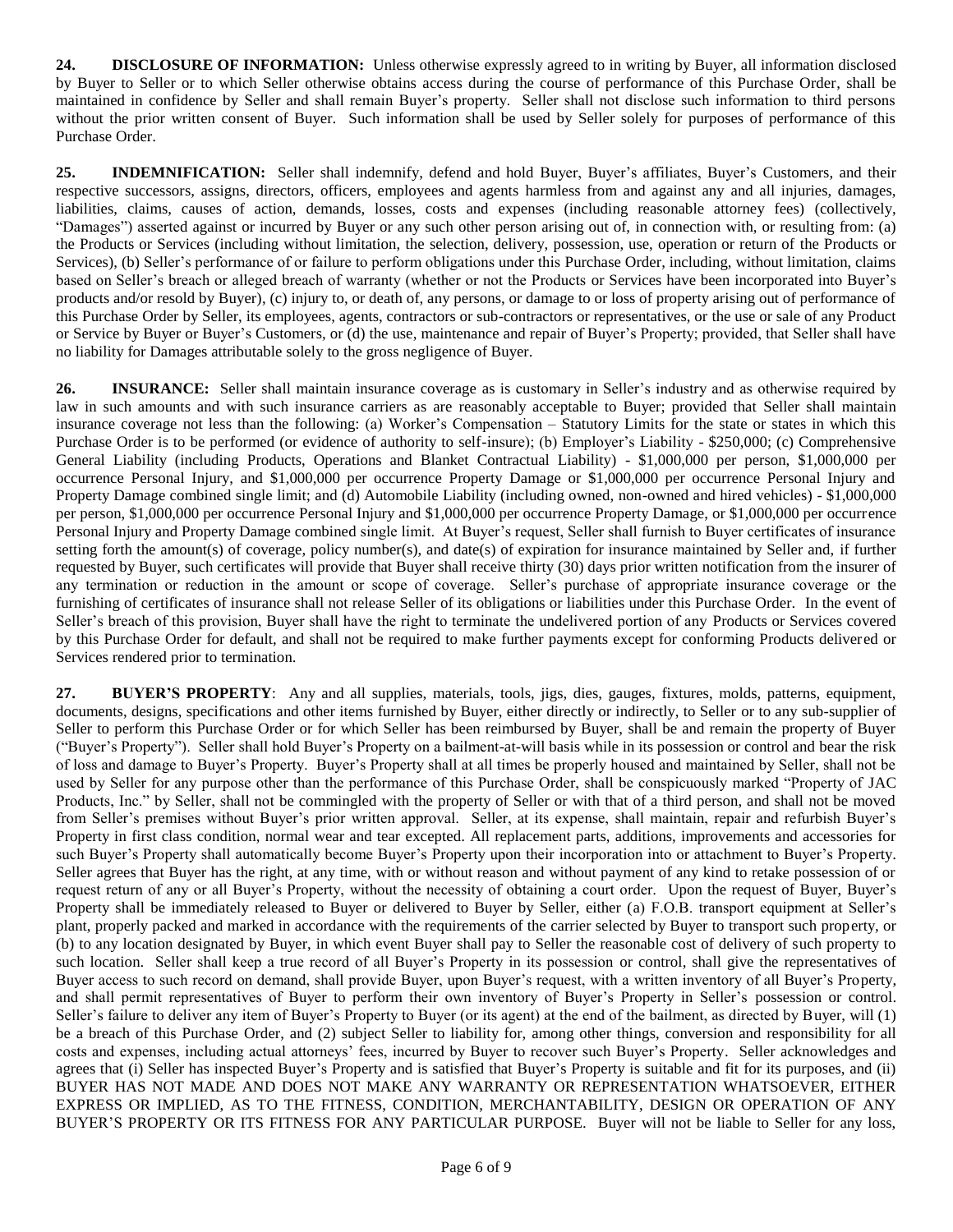**24. DISCLOSURE OF INFORMATION:** Unless otherwise expressly agreed to in writing by Buyer, all information disclosed by Buyer to Seller or to which Seller otherwise obtains access during the course of performance of this Purchase Order, shall be maintained in confidence by Seller and shall remain Buyer's property. Seller shall not disclose such information to third persons without the prior written consent of Buyer. Such information shall be used by Seller solely for purposes of performance of this Purchase Order.

**25. INDEMNIFICATION:** Seller shall indemnify, defend and hold Buyer, Buyer's affiliates, Buyer's Customers, and their respective successors, assigns, directors, officers, employees and agents harmless from and against any and all injuries, damages, liabilities, claims, causes of action, demands, losses, costs and expenses (including reasonable attorney fees) (collectively, "Damages") asserted against or incurred by Buyer or any such other person arising out of, in connection with, or resulting from: (a) the Products or Services (including without limitation, the selection, delivery, possession, use, operation or return of the Products or Services), (b) Seller's performance of or failure to perform obligations under this Purchase Order, including, without limitation, claims based on Seller's breach or alleged breach of warranty (whether or not the Products or Services have been incorporated into Buyer's products and/or resold by Buyer), (c) injury to, or death of, any persons, or damage to or loss of property arising out of performance of this Purchase Order by Seller, its employees, agents, contractors or sub-contractors or representatives, or the use or sale of any Product or Service by Buyer or Buyer's Customers, or (d) the use, maintenance and repair of Buyer's Property; provided, that Seller shall have no liability for Damages attributable solely to the gross negligence of Buyer.

**26. INSURANCE:** Seller shall maintain insurance coverage as is customary in Seller's industry and as otherwise required by law in such amounts and with such insurance carriers as are reasonably acceptable to Buyer; provided that Seller shall maintain insurance coverage not less than the following: (a) Worker's Compensation – Statutory Limits for the state or states in which this Purchase Order is to be performed (or evidence of authority to self-insure); (b) Employer's Liability - \$250,000; (c) Comprehensive General Liability (including Products, Operations and Blanket Contractual Liability) - \$1,000,000 per person, \$1,000,000 per occurrence Personal Injury, and \$1,000,000 per occurrence Property Damage or \$1,000,000 per occurrence Personal Injury and Property Damage combined single limit; and (d) Automobile Liability (including owned, non-owned and hired vehicles) - \$1,000,000 per person, \$1,000,000 per occurrence Personal Injury and \$1,000,000 per occurrence Property Damage, or \$1,000,000 per occurrence Personal Injury and Property Damage combined single limit. At Buyer's request, Seller shall furnish to Buyer certificates of insurance setting forth the amount(s) of coverage, policy number(s), and date(s) of expiration for insurance maintained by Seller and, if further requested by Buyer, such certificates will provide that Buyer shall receive thirty (30) days prior written notification from the insurer of any termination or reduction in the amount or scope of coverage. Seller's purchase of appropriate insurance coverage or the furnishing of certificates of insurance shall not release Seller of its obligations or liabilities under this Purchase Order. In the event of Seller's breach of this provision, Buyer shall have the right to terminate the undelivered portion of any Products or Services covered by this Purchase Order for default, and shall not be required to make further payments except for conforming Products delivered or Services rendered prior to termination.

**27. BUYER'S PROPERTY**: Any and all supplies, materials, tools, jigs, dies, gauges, fixtures, molds, patterns, equipment, documents, designs, specifications and other items furnished by Buyer, either directly or indirectly, to Seller or to any sub-supplier of Seller to perform this Purchase Order or for which Seller has been reimbursed by Buyer, shall be and remain the property of Buyer ("Buyer's Property"). Seller shall hold Buyer's Property on a bailment-at-will basis while in its possession or control and bear the risk of loss and damage to Buyer's Property. Buyer's Property shall at all times be properly housed and maintained by Seller, shall not be used by Seller for any purpose other than the performance of this Purchase Order, shall be conspicuously marked "Property of JAC Products, Inc." by Seller, shall not be commingled with the property of Seller or with that of a third person, and shall not be moved from Seller's premises without Buyer's prior written approval. Seller, at its expense, shall maintain, repair and refurbish Buyer's Property in first class condition, normal wear and tear excepted. All replacement parts, additions, improvements and accessories for such Buyer's Property shall automatically become Buyer's Property upon their incorporation into or attachment to Buyer's Property. Seller agrees that Buyer has the right, at any time, with or without reason and without payment of any kind to retake possession of or request return of any or all Buyer's Property, without the necessity of obtaining a court order. Upon the request of Buyer, Buyer's Property shall be immediately released to Buyer or delivered to Buyer by Seller, either (a) F.O.B. transport equipment at Seller's plant, properly packed and marked in accordance with the requirements of the carrier selected by Buyer to transport such property, or (b) to any location designated by Buyer, in which event Buyer shall pay to Seller the reasonable cost of delivery of such property to such location. Seller shall keep a true record of all Buyer's Property in its possession or control, shall give the representatives of Buyer access to such record on demand, shall provide Buyer, upon Buyer's request, with a written inventory of all Buyer's Property, and shall permit representatives of Buyer to perform their own inventory of Buyer's Property in Seller's possession or control. Seller's failure to deliver any item of Buyer's Property to Buyer (or its agent) at the end of the bailment, as directed by Buyer, will (1) be a breach of this Purchase Order, and (2) subject Seller to liability for, among other things, conversion and responsibility for all costs and expenses, including actual attorneys' fees, incurred by Buyer to recover such Buyer's Property. Seller acknowledges and agrees that (i) Seller has inspected Buyer's Property and is satisfied that Buyer's Property is suitable and fit for its purposes, and (ii) BUYER HAS NOT MADE AND DOES NOT MAKE ANY WARRANTY OR REPRESENTATION WHATSOEVER, EITHER EXPRESS OR IMPLIED, AS TO THE FITNESS, CONDITION, MERCHANTABILITY, DESIGN OR OPERATION OF ANY BUYER'S PROPERTY OR ITS FITNESS FOR ANY PARTICULAR PURPOSE. Buyer will not be liable to Seller for any loss,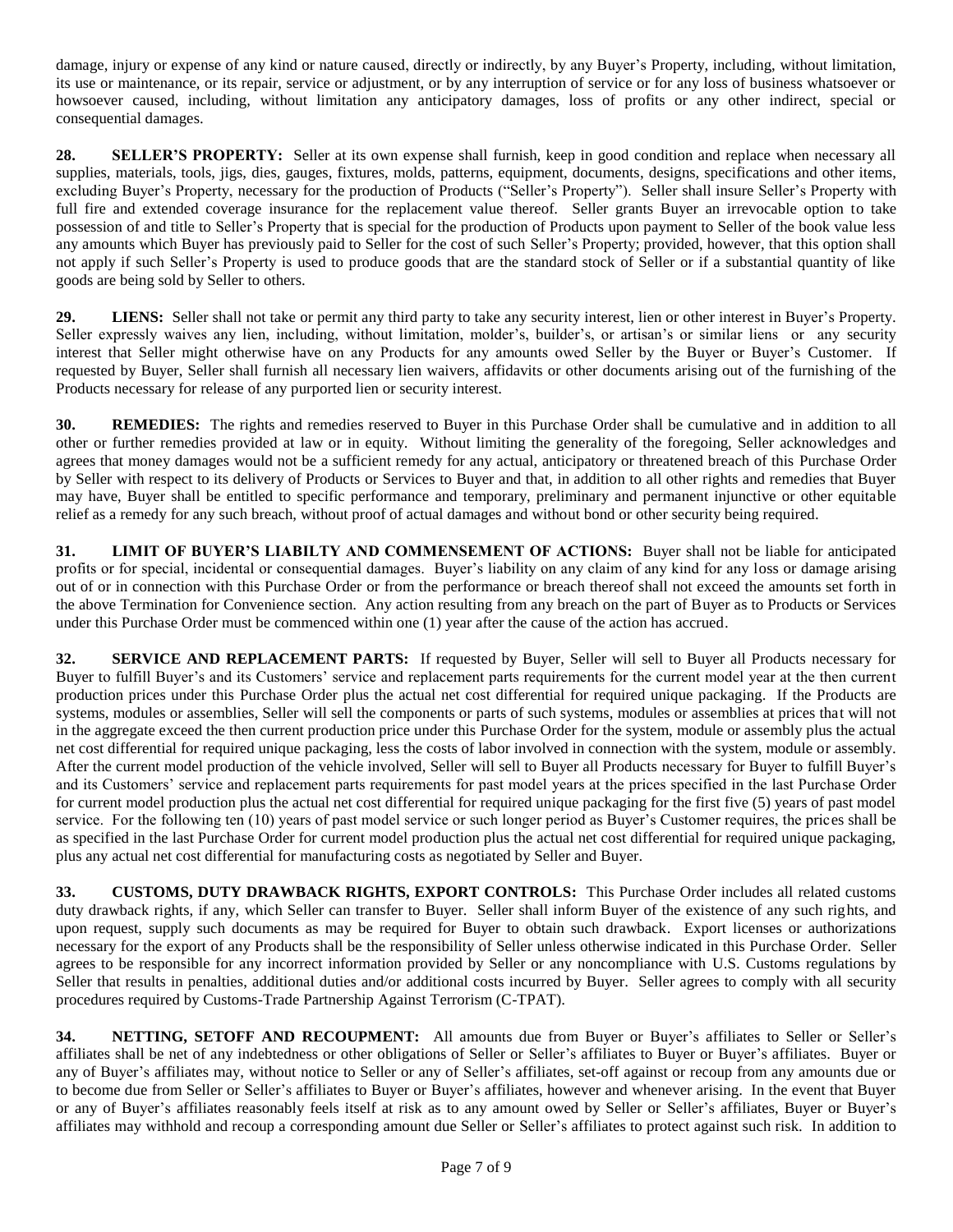damage, injury or expense of any kind or nature caused, directly or indirectly, by any Buyer's Property, including, without limitation, its use or maintenance, or its repair, service or adjustment, or by any interruption of service or for any loss of business whatsoever or howsoever caused, including, without limitation any anticipatory damages, loss of profits or any other indirect, special or consequential damages.

**28. SELLER'S PROPERTY:** Seller at its own expense shall furnish, keep in good condition and replace when necessary all supplies, materials, tools, jigs, dies, gauges, fixtures, molds, patterns, equipment, documents, designs, specifications and other items, excluding Buyer's Property, necessary for the production of Products ("Seller's Property"). Seller shall insure Seller's Property with full fire and extended coverage insurance for the replacement value thereof. Seller grants Buyer an irrevocable option to take possession of and title to Seller's Property that is special for the production of Products upon payment to Seller of the book value less any amounts which Buyer has previously paid to Seller for the cost of such Seller's Property; provided, however, that this option shall not apply if such Seller's Property is used to produce goods that are the standard stock of Seller or if a substantial quantity of like goods are being sold by Seller to others.

**29. LIENS:** Seller shall not take or permit any third party to take any security interest, lien or other interest in Buyer's Property. Seller expressly waives any lien, including, without limitation, molder's, builder's, or artisan's or similar liens or any security interest that Seller might otherwise have on any Products for any amounts owed Seller by the Buyer or Buyer's Customer. If requested by Buyer, Seller shall furnish all necessary lien waivers, affidavits or other documents arising out of the furnishing of the Products necessary for release of any purported lien or security interest.

**30. REMEDIES:** The rights and remedies reserved to Buyer in this Purchase Order shall be cumulative and in addition to all other or further remedies provided at law or in equity. Without limiting the generality of the foregoing, Seller acknowledges and agrees that money damages would not be a sufficient remedy for any actual, anticipatory or threatened breach of this Purchase Order by Seller with respect to its delivery of Products or Services to Buyer and that, in addition to all other rights and remedies that Buyer may have, Buyer shall be entitled to specific performance and temporary, preliminary and permanent injunctive or other equitable relief as a remedy for any such breach, without proof of actual damages and without bond or other security being required.

**31. LIMIT OF BUYER'S LIABILTY AND COMMENSEMENT OF ACTIONS:** Buyer shall not be liable for anticipated profits or for special, incidental or consequential damages. Buyer's liability on any claim of any kind for any loss or damage arising out of or in connection with this Purchase Order or from the performance or breach thereof shall not exceed the amounts set forth in the above Termination for Convenience section. Any action resulting from any breach on the part of Buyer as to Products or Services under this Purchase Order must be commenced within one (1) year after the cause of the action has accrued.

**32. SERVICE AND REPLACEMENT PARTS:** If requested by Buyer, Seller will sell to Buyer all Products necessary for Buyer to fulfill Buyer's and its Customers' service and replacement parts requirements for the current model year at the then current production prices under this Purchase Order plus the actual net cost differential for required unique packaging. If the Products are systems, modules or assemblies, Seller will sell the components or parts of such systems, modules or assemblies at prices that will not in the aggregate exceed the then current production price under this Purchase Order for the system, module or assembly plus the actual net cost differential for required unique packaging, less the costs of labor involved in connection with the system, module or assembly. After the current model production of the vehicle involved, Seller will sell to Buyer all Products necessary for Buyer to fulfill Buyer's and its Customers' service and replacement parts requirements for past model years at the prices specified in the last Purchase Order for current model production plus the actual net cost differential for required unique packaging for the first five (5) years of past model service. For the following ten (10) years of past model service or such longer period as Buyer's Customer requires, the prices shall be as specified in the last Purchase Order for current model production plus the actual net cost differential for required unique packaging, plus any actual net cost differential for manufacturing costs as negotiated by Seller and Buyer.

**33. CUSTOMS, DUTY DRAWBACK RIGHTS, EXPORT CONTROLS:** This Purchase Order includes all related customs duty drawback rights, if any, which Seller can transfer to Buyer. Seller shall inform Buyer of the existence of any such rights, and upon request, supply such documents as may be required for Buyer to obtain such drawback. Export licenses or authorizations necessary for the export of any Products shall be the responsibility of Seller unless otherwise indicated in this Purchase Order. Seller agrees to be responsible for any incorrect information provided by Seller or any noncompliance with U.S. Customs regulations by Seller that results in penalties, additional duties and/or additional costs incurred by Buyer. Seller agrees to comply with all security procedures required by Customs-Trade Partnership Against Terrorism (C-TPAT).

**34. NETTING, SETOFF AND RECOUPMENT:** All amounts due from Buyer or Buyer's affiliates to Seller or Seller's affiliates shall be net of any indebtedness or other obligations of Seller or Seller's affiliates to Buyer or Buyer's affiliates. Buyer or any of Buyer's affiliates may, without notice to Seller or any of Seller's affiliates, set-off against or recoup from any amounts due or to become due from Seller or Seller's affiliates to Buyer or Buyer's affiliates, however and whenever arising. In the event that Buyer or any of Buyer's affiliates reasonably feels itself at risk as to any amount owed by Seller or Seller's affiliates, Buyer or Buyer's affiliates may withhold and recoup a corresponding amount due Seller or Seller's affiliates to protect against such risk. In addition to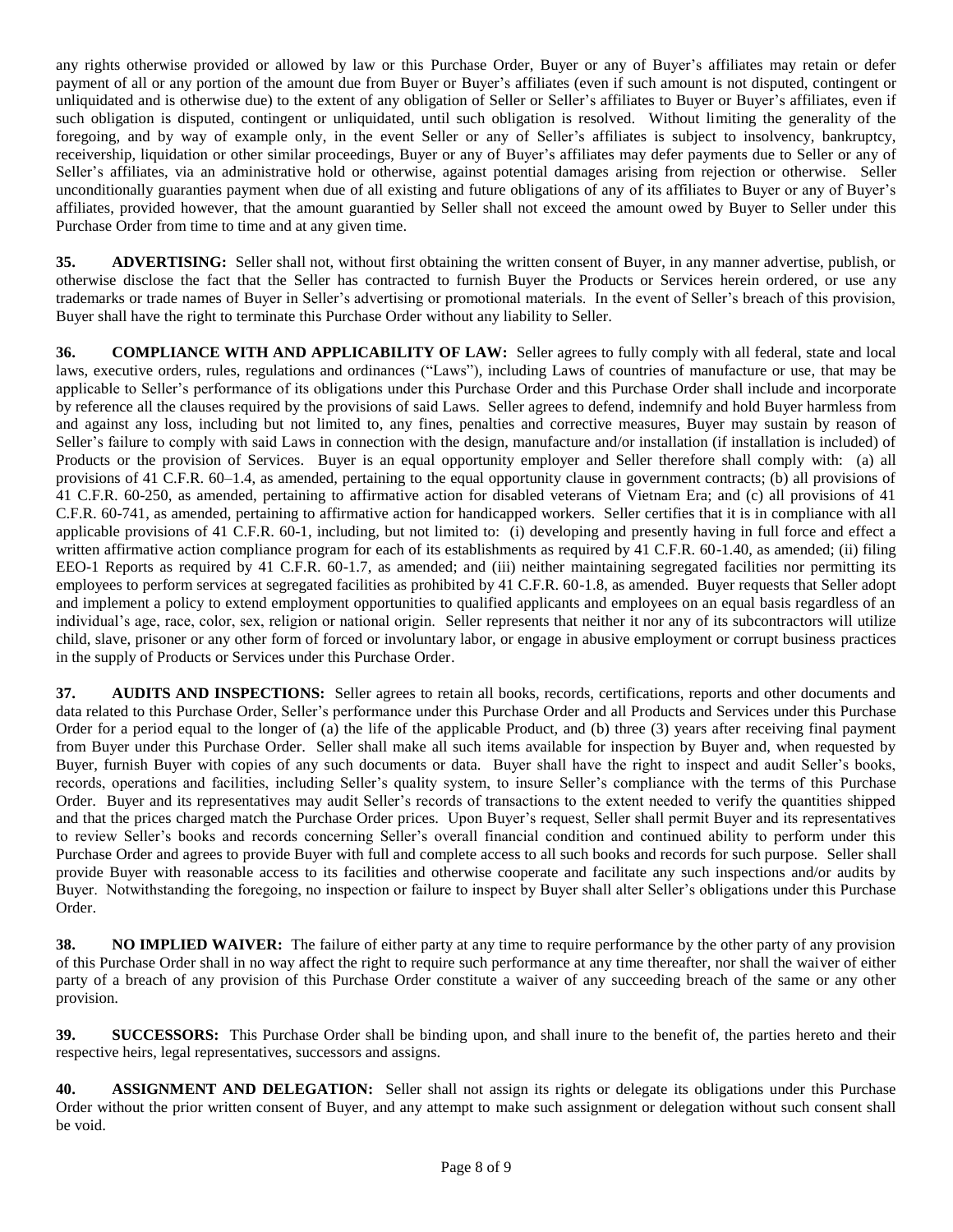any rights otherwise provided or allowed by law or this Purchase Order, Buyer or any of Buyer's affiliates may retain or defer payment of all or any portion of the amount due from Buyer or Buyer's affiliates (even if such amount is not disputed, contingent or unliquidated and is otherwise due) to the extent of any obligation of Seller or Seller's affiliates to Buyer or Buyer's affiliates, even if such obligation is disputed, contingent or unliquidated, until such obligation is resolved. Without limiting the generality of the foregoing, and by way of example only, in the event Seller or any of Seller's affiliates is subject to insolvency, bankruptcy, receivership, liquidation or other similar proceedings, Buyer or any of Buyer's affiliates may defer payments due to Seller or any of Seller's affiliates, via an administrative hold or otherwise, against potential damages arising from rejection or otherwise. Seller unconditionally guaranties payment when due of all existing and future obligations of any of its affiliates to Buyer or any of Buyer's affiliates, provided however, that the amount guarantied by Seller shall not exceed the amount owed by Buyer to Seller under this Purchase Order from time to time and at any given time.

**35. ADVERTISING:** Seller shall not, without first obtaining the written consent of Buyer, in any manner advertise, publish, or otherwise disclose the fact that the Seller has contracted to furnish Buyer the Products or Services herein ordered, or use any trademarks or trade names of Buyer in Seller's advertising or promotional materials. In the event of Seller's breach of this provision, Buyer shall have the right to terminate this Purchase Order without any liability to Seller.

**36. COMPLIANCE WITH AND APPLICABILITY OF LAW:** Seller agrees to fully comply with all federal, state and local laws, executive orders, rules, regulations and ordinances ("Laws"), including Laws of countries of manufacture or use, that may be applicable to Seller's performance of its obligations under this Purchase Order and this Purchase Order shall include and incorporate by reference all the clauses required by the provisions of said Laws. Seller agrees to defend, indemnify and hold Buyer harmless from and against any loss, including but not limited to, any fines, penalties and corrective measures, Buyer may sustain by reason of Seller's failure to comply with said Laws in connection with the design, manufacture and/or installation (if installation is included) of Products or the provision of Services. Buyer is an equal opportunity employer and Seller therefore shall comply with: (a) all provisions of 41 C.F.R. 60–1.4, as amended, pertaining to the equal opportunity clause in government contracts; (b) all provisions of 41 C.F.R. 60-250, as amended, pertaining to affirmative action for disabled veterans of Vietnam Era; and (c) all provisions of 41 C.F.R. 60-741, as amended, pertaining to affirmative action for handicapped workers. Seller certifies that it is in compliance with all applicable provisions of 41 C.F.R. 60-1, including, but not limited to: (i) developing and presently having in full force and effect a written affirmative action compliance program for each of its establishments as required by 41 C.F.R. 60-1.40, as amended; (ii) filing EEO-1 Reports as required by 41 C.F.R. 60-1.7, as amended; and (iii) neither maintaining segregated facilities nor permitting its employees to perform services at segregated facilities as prohibited by 41 C.F.R. 60-1.8, as amended. Buyer requests that Seller adopt and implement a policy to extend employment opportunities to qualified applicants and employees on an equal basis regardless of an individual's age, race, color, sex, religion or national origin. Seller represents that neither it nor any of its subcontractors will utilize child, slave, prisoner or any other form of forced or involuntary labor, or engage in abusive employment or corrupt business practices in the supply of Products or Services under this Purchase Order.

**37. AUDITS AND INSPECTIONS:** Seller agrees to retain all books, records, certifications, reports and other documents and data related to this Purchase Order, Seller's performance under this Purchase Order and all Products and Services under this Purchase Order for a period equal to the longer of (a) the life of the applicable Product, and (b) three (3) years after receiving final payment from Buyer under this Purchase Order. Seller shall make all such items available for inspection by Buyer and, when requested by Buyer, furnish Buyer with copies of any such documents or data. Buyer shall have the right to inspect and audit Seller's books, records, operations and facilities, including Seller's quality system, to insure Seller's compliance with the terms of this Purchase Order. Buyer and its representatives may audit Seller's records of transactions to the extent needed to verify the quantities shipped and that the prices charged match the Purchase Order prices. Upon Buyer's request, Seller shall permit Buyer and its representatives to review Seller's books and records concerning Seller's overall financial condition and continued ability to perform under this Purchase Order and agrees to provide Buyer with full and complete access to all such books and records for such purpose. Seller shall provide Buyer with reasonable access to its facilities and otherwise cooperate and facilitate any such inspections and/or audits by Buyer. Notwithstanding the foregoing, no inspection or failure to inspect by Buyer shall alter Seller's obligations under this Purchase Order.

**38. NO IMPLIED WAIVER:** The failure of either party at any time to require performance by the other party of any provision of this Purchase Order shall in no way affect the right to require such performance at any time thereafter, nor shall the waiver of either party of a breach of any provision of this Purchase Order constitute a waiver of any succeeding breach of the same or any other provision.

**39. SUCCESSORS:** This Purchase Order shall be binding upon, and shall inure to the benefit of, the parties hereto and their respective heirs, legal representatives, successors and assigns.

**40. ASSIGNMENT AND DELEGATION:** Seller shall not assign its rights or delegate its obligations under this Purchase Order without the prior written consent of Buyer, and any attempt to make such assignment or delegation without such consent shall be void.